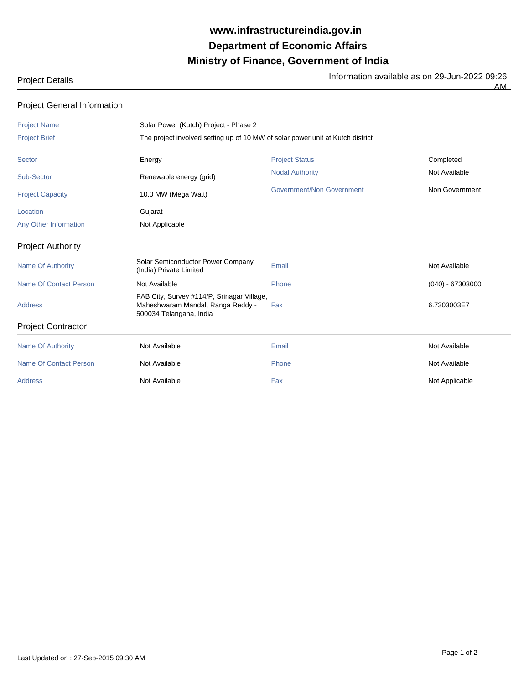## **Ministry of Finance, Government of India Department of Economic Affairs www.infrastructureindia.gov.in**

Project Details Information available as on 29-Jun-2022 09:26

AM

## Project Name Solar Power (Kutch) Project - Phase 2 Project Brief The project involved setting up of 10 MW of solar power unit at Kutch district Sector **Energy Energy Reset Accompleted** Project Status Accompleted Completed Sub-Sector **Renewable energy (grid)** Nodal Authority Nodal Authority Not Available Project Capacity **10.0 MW (Mega Watt)** Government/Non Government Non Government Location **Gujarat** Any Other Information Not Applicable Project Authority Name Of Authority **Solar Semiconductor Power Company** Solar Semiconductor Power Company<br>
Email Not Available (India) Private Limited Name Of Contact Person **Not Available** Not Available **Phone** Phone (040) - 67303000 Address Fax 6.7303003E7 Maheshwaram Mandal, Ranga Reddy - FAB City, Survey #114/P, Srinagar Village, 500034 Telangana, India Project Contractor Name Of Authority **Not Available** Not Available **Not Available** Email Not Available Not Available Name Of Contact Person **Not Available** Not Available Not Available Phone Not Available Not Available Address **Not Available Community Address Address Not Applicable** Address Address And Applicable Project General Information